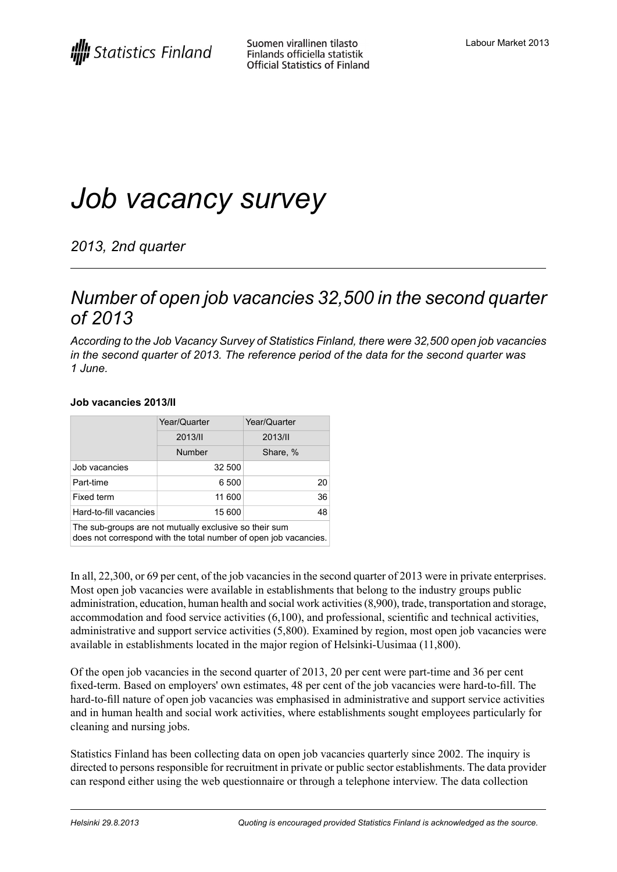# *Job vacancy survey*

*2013, 2nd quarter*

### *Number of open job vacancies 32,500 in the second quarter of 2013*

*According to the Job Vacancy Survey of Statistics Finland, there were 32,500 open job vacancies in the second quarter of 2013. The reference period of the data for the second quarter was 1 June.*

### **Job vacancies 2013/II**

|                                                        | Year/Quarter  | Year/Quarter |  |  |
|--------------------------------------------------------|---------------|--------------|--|--|
|                                                        | 2013/II       | 2013/II      |  |  |
|                                                        | <b>Number</b> | Share, %     |  |  |
| Job vacancies                                          | 32 500        |              |  |  |
| Part-time                                              | 6 500         | 20           |  |  |
| Fixed term                                             | 11 600        | 36           |  |  |
| Hard-to-fill vacancies                                 | 15 600        | 48           |  |  |
| The sub-groups are not mutually exclusive so their sum |               |              |  |  |

does not correspond with the total number of open job vacancies.

In all, 22,300, or 69 per cent, of the job vacancies in the second quarter of 2013 were in private enterprises. Most open job vacancies were available in establishments that belong to the industry groups public administration, education, human health and social work activities(8,900), trade, transportation and storage, accommodation and food service activities (6,100), and professional, scientific and technical activities, administrative and support service activities (5,800). Examined by region, most open job vacancies were available in establishments located in the major region of Helsinki-Uusimaa (11,800).

Of the open job vacancies in the second quarter of 2013, 20 per cent were part-time and 36 per cent fixed-term. Based on employers' own estimates, 48 per cent of the job vacancies were hard-to-fill. The hard-to-fill nature of open job vacancies was emphasised in administrative and support service activities and in human health and social work activities, where establishments sought employees particularly for cleaning and nursing jobs.

Statistics Finland has been collecting data on open job vacancies quarterly since 2002. The inquiry is directed to persons responsible for recruitment in private or public sector establishments. The data provider can respond either using the web questionnaire or through a telephone interview. The data collection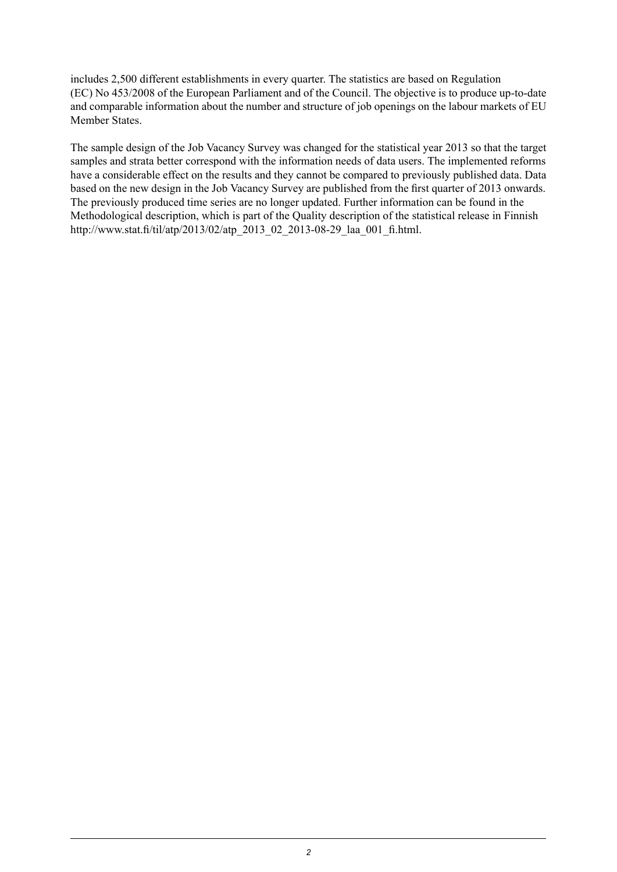includes 2,500 different establishments in every quarter. The statistics are based on Regulation (EC) No 453/2008 of the European Parliament and of the Council. The objective is to produce up-to-date and comparable information about the number and structure of job openings on the labour markets of EU Member States.

The sample design of the Job Vacancy Survey was changed for the statistical year 2013 so that the target samples and strata better correspond with the information needs of data users. The implemented reforms have a considerable effect on the results and they cannot be compared to previously published data. Data based on the new design in the Job Vacancy Survey are published from the first quarter of 2013 onwards. The previously produced time series are no longer updated. Further information can be found in the Methodological description, which is part of the Quality description of the statistical release in Finnish http://www.stat.fi/til/atp/2013/02/atp\_2013\_02\_2013-08-29\_laa\_001\_fi.html.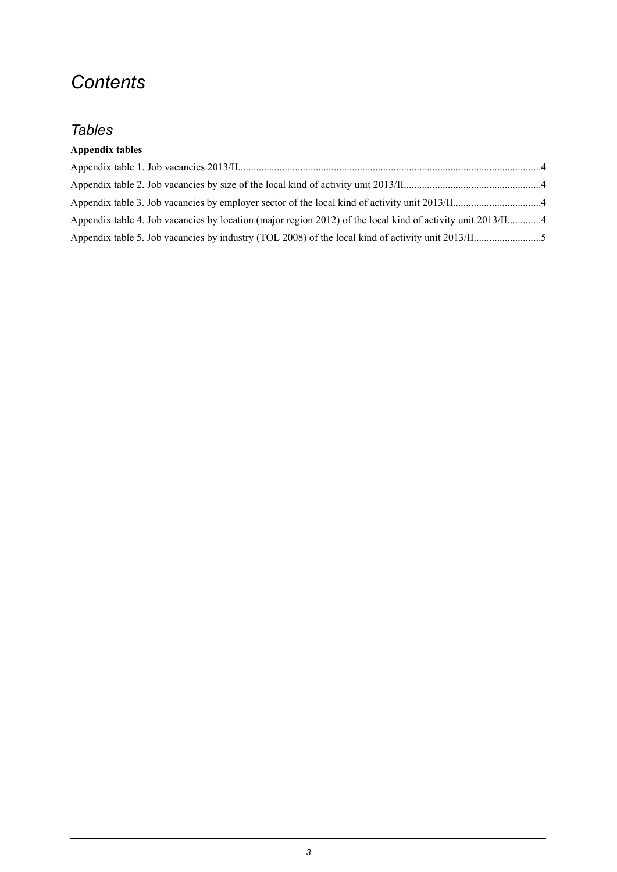## *Contents*

### *Tables*

### **Appendix tables**

| Appendix table 4. Job vacancies by location (major region 2012) of the local kind of activity unit 2013/II4 |  |
|-------------------------------------------------------------------------------------------------------------|--|
|                                                                                                             |  |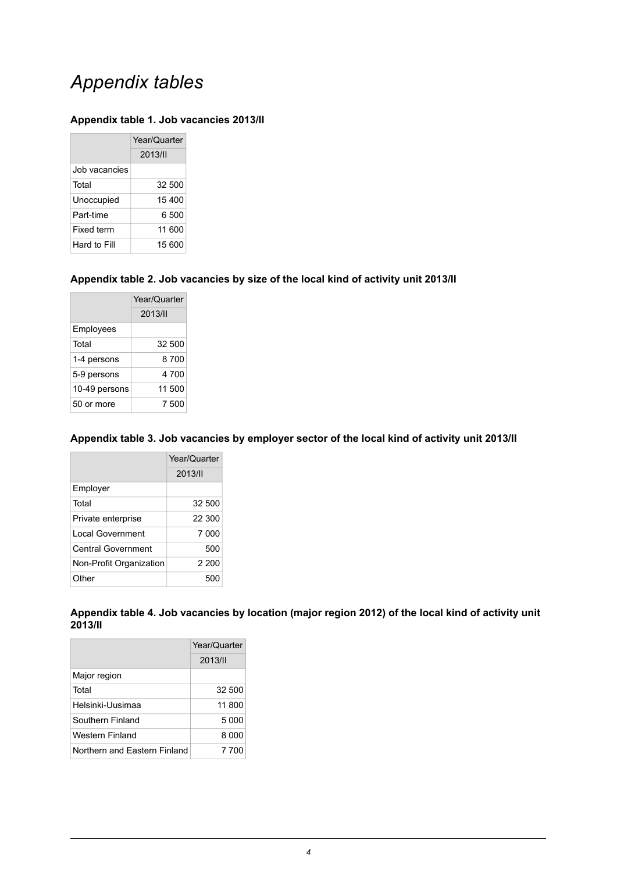## *Appendix tables*

#### <span id="page-3-0"></span>**Appendix table 1. Job vacancies 2013/II**

|               | Year/Quarter |  |
|---------------|--------------|--|
|               | 2013/1       |  |
| Job vacancies |              |  |
| Total         | 32.500       |  |
| Unoccupied    | 15400        |  |
| Part-time     | 6.500        |  |
| Fixed term    | 11 600       |  |
| Hard to Fill  | 15 600       |  |

#### <span id="page-3-1"></span>**Appendix table 2. Job vacancies by size of the local kind of activity unit 2013/II**

|               | Year/Quarter |
|---------------|--------------|
|               | 2013/1       |
| Employees     |              |
| Total         | 32.500       |
| 1-4 persons   | 8 700        |
| 5-9 persons   | 4 700        |
| 10-49 persons | 11 500       |
| 50 or more    | 7.500        |

#### <span id="page-3-2"></span>**Appendix table 3. Job vacancies by employer sector of the local kind of activity unit 2013/II**

|                           | Year/Quarter |
|---------------------------|--------------|
|                           | 2013/11      |
| Employer                  |              |
| Total                     | 32 500       |
| Private enterprise        | 22 300       |
| Local Government          | 7 000        |
| <b>Central Government</b> | 500          |
| Non-Profit Organization   | 2 200        |
| Other                     | 500          |

<span id="page-3-3"></span>**Appendix table 4. Job vacancies by location (major region 2012) of the local kind of activity unit 2013/II**

|                              | Year/Quarter |
|------------------------------|--------------|
|                              | 2013/1       |
| Major region                 |              |
| Total                        | 32 500       |
| Helsinki-Uusimaa             | 11 800       |
| Southern Finland             | 5 000        |
| Western Finland              | 8 000        |
| Northern and Eastern Finland | 7 700        |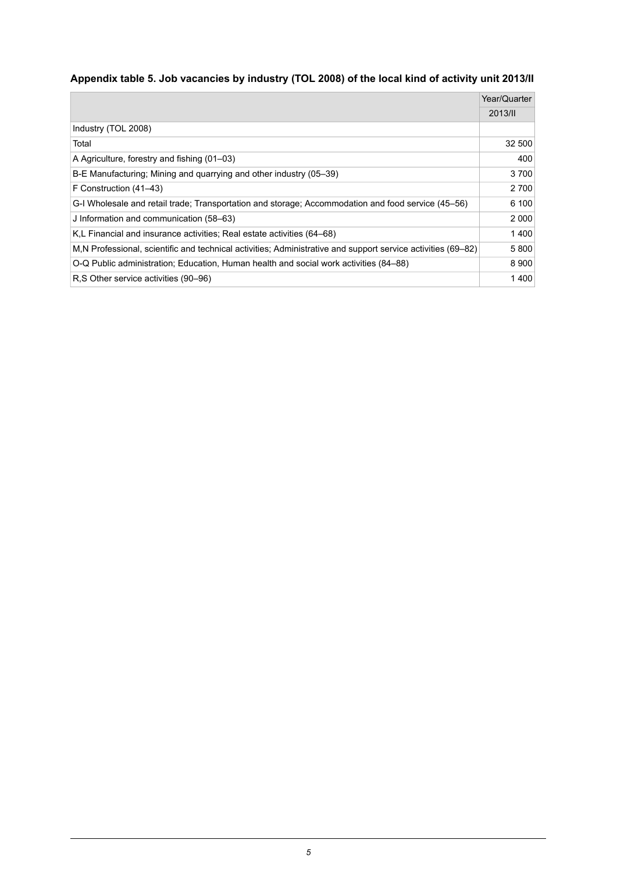### <span id="page-4-0"></span>**Appendix table 5. Job vacancies by industry (TOL 2008) of the local kind of activity unit 2013/II**

|                                                                                                               | Year/Quarter |
|---------------------------------------------------------------------------------------------------------------|--------------|
|                                                                                                               | 2013/11      |
| Industry (TOL 2008)                                                                                           |              |
| Total                                                                                                         | 32 500       |
| A Agriculture, forestry and fishing (01–03)                                                                   | 400          |
| B-E Manufacturing; Mining and quarrying and other industry (05–39)                                            | 3700         |
| F Construction (41–43)                                                                                        | 2700         |
| G-I Wholesale and retail trade; Transportation and storage; Accommodation and food service (45–56)            | 6 100        |
| J Information and communication (58-63)                                                                       | 2 0 0 0      |
| K,L Financial and insurance activities; Real estate activities (64–68)                                        | 1400         |
| M, N Professional, scientific and technical activities; Administrative and support service activities (69–82) | 5800         |
| O-Q Public administration; Education, Human health and social work activities (84–88)                         | 8900         |
| R.S Other service activities (90–96)                                                                          | 1400         |